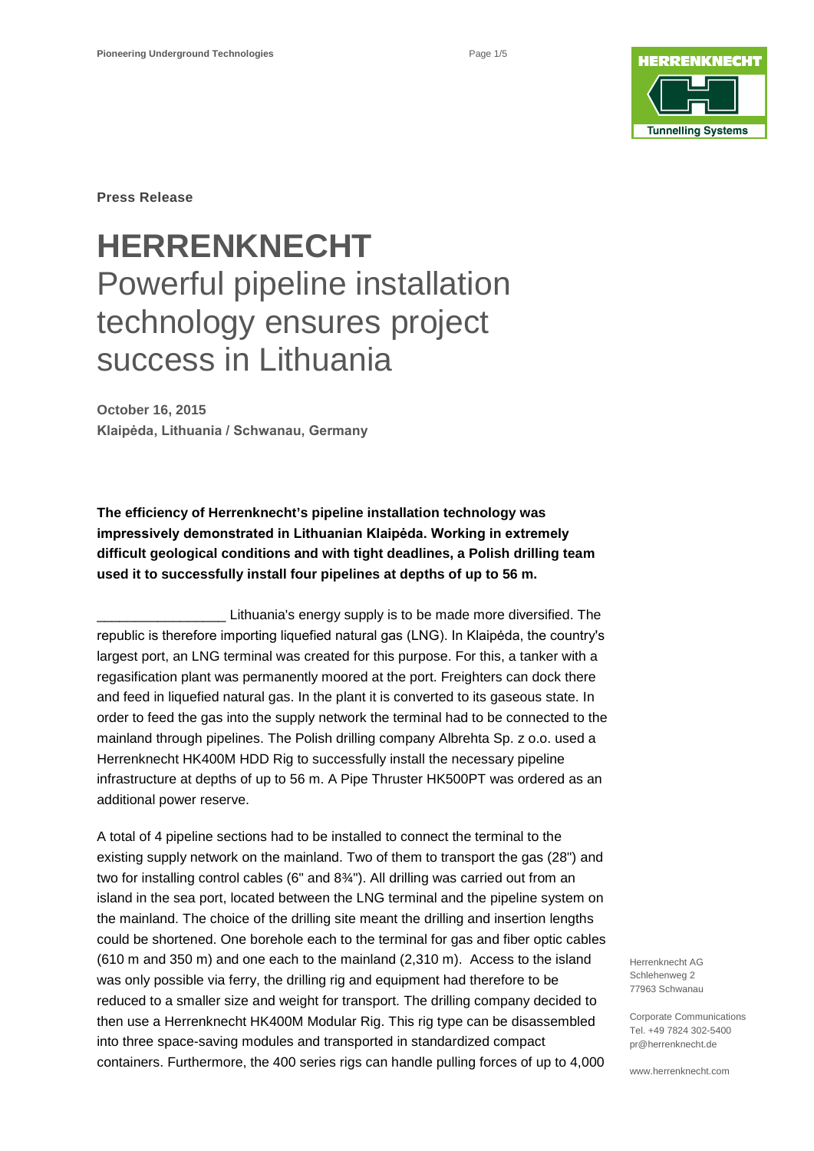

**Press Release**

# **HERRENKNECHT** Powerful pipeline installation technology ensures project success in Lithuania

**October 16, 2015 Klaipėda, Lithuania / Schwanau, Germany**

**The efficiency of Herrenknecht's pipeline installation technology was impressively demonstrated in Lithuanian Klaipėda. Working in extremely difficult geological conditions and with tight deadlines, a Polish drilling team used it to successfully install four pipelines at depths of up to 56 m.**

\_\_\_\_\_\_\_\_\_\_\_\_\_\_\_\_\_ Lithuania's energy supply is to be made more diversified. The republic is therefore importing liquefied natural gas (LNG). In Klaipėda, the country's largest port, an LNG terminal was created for this purpose. For this, a tanker with a regasification plant was permanently moored at the port. Freighters can dock there and feed in liquefied natural gas. In the plant it is converted to its gaseous state. In order to feed the gas into the supply network the terminal had to be connected to the mainland through pipelines. The Polish drilling company Albrehta Sp. z o.o. used a Herrenknecht HK400M HDD Rig to successfully install the necessary pipeline infrastructure at depths of up to 56 m. A Pipe Thruster HK500PT was ordered as an additional power reserve.

A total of 4 pipeline sections had to be installed to connect the terminal to the existing supply network on the mainland. Two of them to transport the gas (28") and two for installing control cables (6" and 8¾"). All drilling was carried out from an island in the sea port, located between the LNG terminal and the pipeline system on the mainland. The choice of the drilling site meant the drilling and insertion lengths could be shortened. One borehole each to the terminal for gas and fiber optic cables (610 m and 350 m) and one each to the mainland (2,310 m). Access to the island was only possible via ferry, the drilling rig and equipment had therefore to be reduced to a smaller size and weight for transport. The drilling company decided to then use a Herrenknecht HK400M Modular Rig. This rig type can be disassembled into three space-saving modules and transported in standardized compact containers. Furthermore, the 400 series rigs can handle pulling forces of up to 4,000

Herrenknecht AG Schlehenweg 2 77963 Schwanau

Corporate Communications Tel. +49 7824 302-5400 pr@herrenknecht.de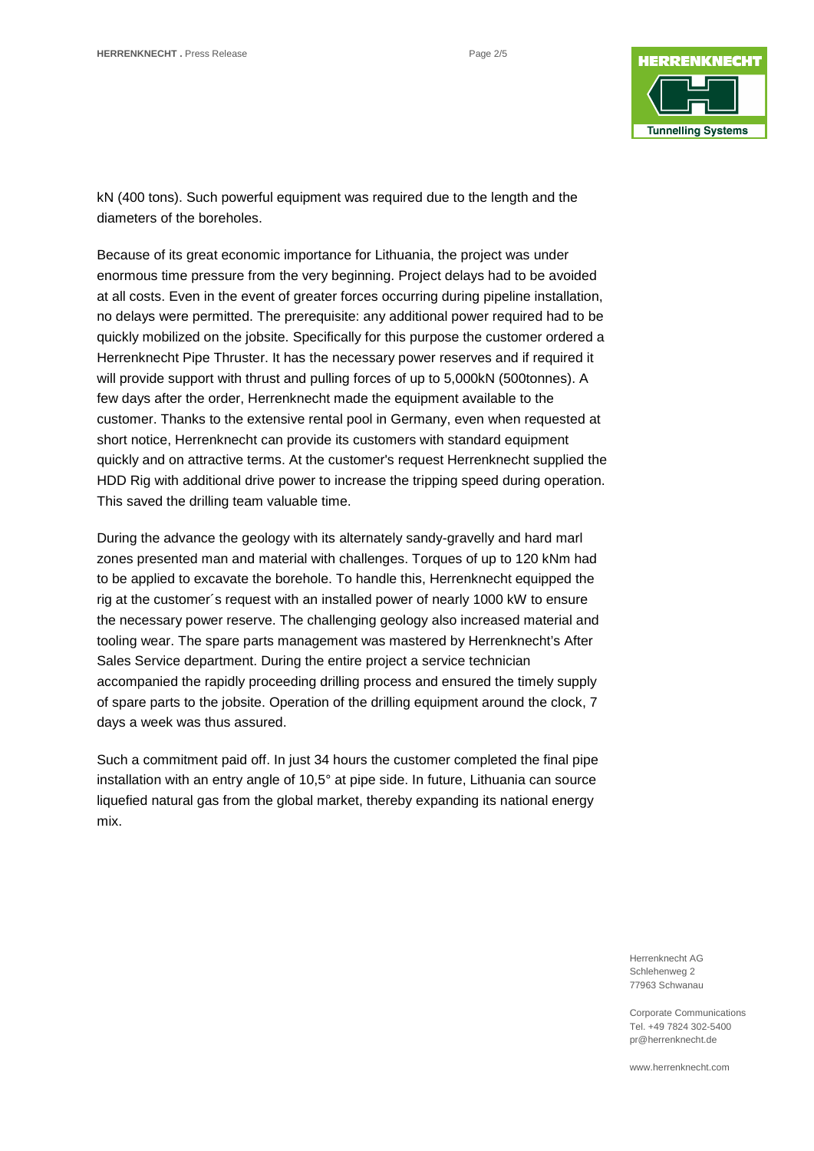

kN (400 tons). Such powerful equipment was required due to the length and the diameters of the boreholes.

Because of its great economic importance for Lithuania, the project was under enormous time pressure from the very beginning. Project delays had to be avoided at all costs. Even in the event of greater forces occurring during pipeline installation, no delays were permitted. The prerequisite: any additional power required had to be quickly mobilized on the jobsite. Specifically for this purpose the customer ordered a Herrenknecht Pipe Thruster. It has the necessary power reserves and if required it will provide support with thrust and pulling forces of up to 5,000kN (500tonnes). A few days after the order, Herrenknecht made the equipment available to the customer. Thanks to the extensive rental pool in Germany, even when requested at short notice, Herrenknecht can provide its customers with standard equipment quickly and on attractive terms. At the customer's request Herrenknecht supplied the HDD Rig with additional drive power to increase the tripping speed during operation. This saved the drilling team valuable time.

During the advance the geology with its alternately sandy-gravelly and hard marl zones presented man and material with challenges. Torques of up to 120 kNm had to be applied to excavate the borehole. To handle this, Herrenknecht equipped the rig at the customer´s request with an installed power of nearly 1000 kW to ensure the necessary power reserve. The challenging geology also increased material and tooling wear. The spare parts management was mastered by Herrenknecht's After Sales Service department. During the entire project a service technician accompanied the rapidly proceeding drilling process and ensured the timely supply of spare parts to the jobsite. Operation of the drilling equipment around the clock, 7 days a week was thus assured.

Such a commitment paid off. In just 34 hours the customer completed the final pipe installation with an entry angle of 10,5° at pipe side. In future, Lithuania can source liquefied natural gas from the global market, thereby expanding its national energy mix.

> Herrenknecht AG Schlehenweg 2 77963 Schwanau

Corporate Communications Tel. +49 7824 302-5400 pr@herrenknecht.de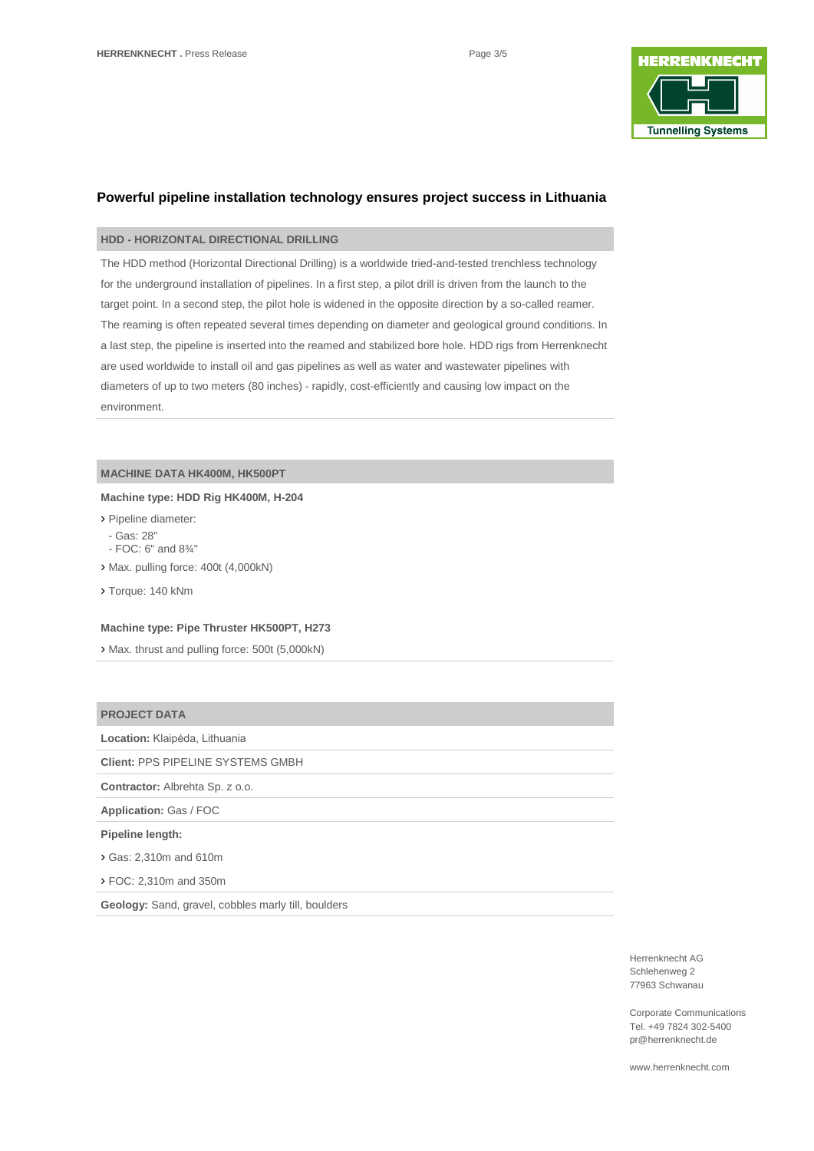

# **Powerful pipeline installation technology ensures project success in Lithuania**

## **HDD - HORIZONTAL DIRECTIONAL DRILLING**

The HDD method (Horizontal Directional Drilling) is a worldwide tried-and-tested trenchless technology for the underground installation of pipelines. In a first step, a pilot drill is driven from the launch to the target point. In a second step, the pilot hole is widened in the opposite direction by a so-called reamer. The reaming is often repeated several times depending on diameter and geological ground conditions. In a last step, the pipeline is inserted into the reamed and stabilized bore hole. HDD rigs from Herrenknecht are used worldwide to install oil and gas pipelines as well as water and wastewater pipelines with diameters of up to two meters (80 inches) - rapidly, cost-efficiently and causing low impact on the environment.

## **MACHINE DATA HK400M, HK500PT**

#### **Machine type: HDD Rig HK400M, H-204**

- › Pipeline diameter:
- Gas: 28"
- FOC: 6" and 8¾"
- › Max. pulling force: 400t (4,000kN)
- › Torque: 140 kNm

#### **Machine type: Pipe Thruster HK500PT, H273**

› Max. thrust and pulling force: 500t (5,000kN)

## **PROJECT DATA**

**Location:** Klaipėda, Lithuania

**Client:** PPS PIPELINE SYSTEMS GMBH

**Contractor:** Albrehta Sp. z o.o.

**Application:** Gas / FOC

**Pipeline length:** 

› Gas: 2,310m and 610m

› FOC: 2,310m and 350m

**Geology:** Sand, gravel, cobbles marly till, boulders

Herrenknecht AG Schlehenweg 2 77963 Schwanau

Corporate Communications Tel. +49 7824 302-5400 pr@herrenknecht.de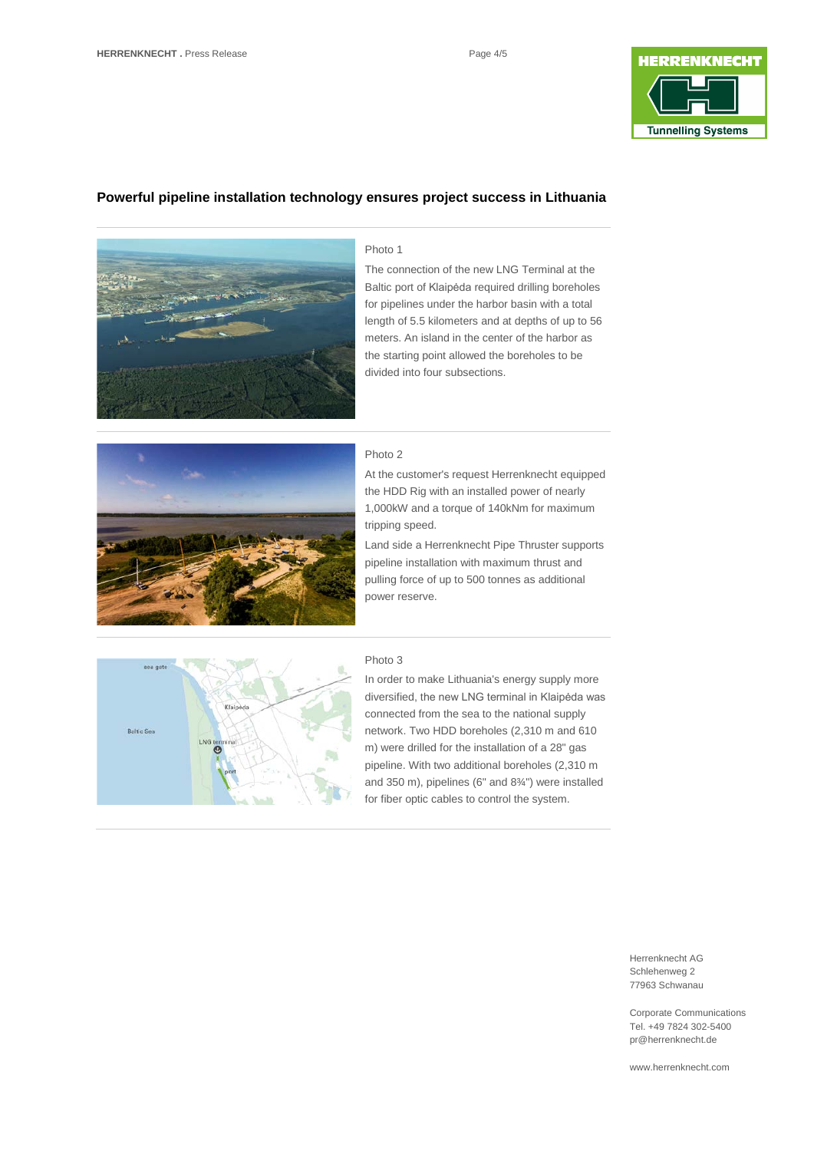

## **Powerful pipeline installation technology ensures project success in Lithuania**



### Photo 1

The connection of the new LNG Terminal at the Baltic port of Klaipėda required drilling boreholes for pipelines under the harbor basin with a total length of 5.5 kilometers and at depths of up to 56 meters. An island in the center of the harbor as the starting point allowed the boreholes to be divided into four subsections.



### Photo 2

At the customer's request Herrenknecht equipped the HDD Rig with an installed power of nearly 1,000kW and a torque of 140kNm for maximum tripping speed.

Land side a Herrenknecht Pipe Thruster supports pipeline installation with maximum thrust and pulling force of up to 500 tonnes as additional power reserve.



#### Photo 3

In order to make Lithuania's energy supply more diversified, the new LNG terminal in Klaipėda was connected from the sea to the national supply network. Two HDD boreholes (2,310 m and 610 m) were drilled for the installation of a 28" gas pipeline. With two additional boreholes (2,310 m and 350 m), pipelines (6" and 8¾") were installed for fiber optic cables to control the system.

> Herrenknecht AG Schlehenweg 2 77963 Schwanau

Corporate Communications Tel. +49 7824 302-5400 pr@herrenknecht.de